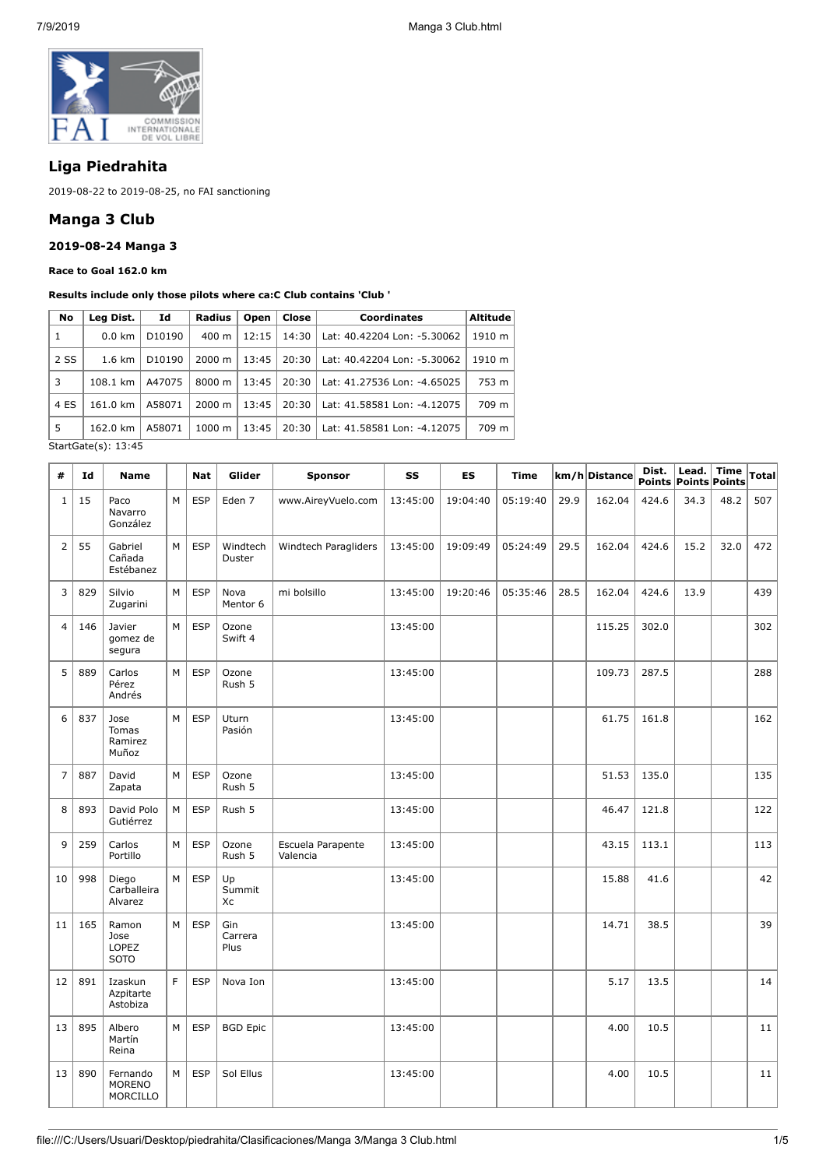

# **Liga Piedrahita**

2019-08-22 to 2019-08-25, no FAI sanctioning

## **Manga 3 Club**

## **2019-08-24 Manga 3**

**Race to Goal 162.0 km**

#### **Results include only those pilots where ca:C Club contains 'Club '**

| No   | Leg Dist.        | Id                 | Close<br>Radius<br>Open |       |       | <b>Coordinates</b>          | <b>Altitude</b> |  |
|------|------------------|--------------------|-------------------------|-------|-------|-----------------------------|-----------------|--|
| 1    | $0.0 \text{ km}$ | D <sub>10190</sub> | $400 \text{ m}$         | 12:15 | 14:30 | Lat: 40.42204 Lon: -5.30062 | 1910 m          |  |
| 2 SS | $1.6 \text{ km}$ | D <sub>10190</sub> | $2000 \; \text{m}$      | 13:45 | 20:30 | Lat: 40.42204 Lon: -5.30062 | 1910 m          |  |
| 3    | 108.1 km         | A47075             | 8000 m                  | 13:45 | 20:30 | Lat: 41.27536 Lon: -4.65025 | 753 m           |  |
| 4 ES | 161.0 km         | A58071             | $2000 \; \text{m}$      | 13:45 | 20:30 | Lat: 41.58581 Lon: -4.12075 | 709 m           |  |
| 5    | 162.0 km         | A58071             | $1000 \;{\rm m}$        | 13:45 | 20:30 | Lat: 41.58581 Lon: -4.12075 | 709 m           |  |

StartGate(s): 13:45

| #              | Id  | <b>Name</b>                              |   | <b>Nat</b> | Glider                 | <b>Sponsor</b>                | SS       | <b>ES</b> | <b>Time</b> |      | km/h Distance | Dist.<br>Points Points Points | Lead. | $\mid$ Time | <b>Total</b> |
|----------------|-----|------------------------------------------|---|------------|------------------------|-------------------------------|----------|-----------|-------------|------|---------------|-------------------------------|-------|-------------|--------------|
| 1              | 15  | Paco<br>Navarro<br>González              | M | <b>ESP</b> | Eden <sub>7</sub>      | www.AireyVuelo.com            | 13:45:00 | 19:04:40  | 05:19:40    | 29.9 | 162.04        | 424.6                         | 34.3  | 48.2        | 507          |
| $\overline{2}$ | 55  | Gabriel<br>Cañada<br>Estébanez           | M | <b>ESP</b> | Windtech<br>Duster     | Windtech Paragliders          | 13:45:00 | 19:09:49  | 05:24:49    | 29.5 | 162.04        | 424.6                         | 15.2  | 32.0        | 472          |
| 3              | 829 | Silvio<br>Zugarini                       | M | <b>ESP</b> | Nova<br>Mentor 6       | mi bolsillo                   | 13:45:00 | 19:20:46  | 05:35:46    | 28.5 | 162.04        | 424.6                         | 13.9  |             | 439          |
| $\overline{4}$ | 146 | Javier<br>gomez de<br>segura             | M | <b>ESP</b> | Ozone<br>Swift 4       |                               | 13:45:00 |           |             |      | 115.25        | 302.0                         |       |             | 302          |
| 5              | 889 | Carlos<br>Pérez<br>Andrés                | M | <b>ESP</b> | Ozone<br>Rush 5        |                               | 13:45:00 |           |             |      | 109.73        | 287.5                         |       |             | 288          |
| 6              | 837 | Jose<br><b>Tomas</b><br>Ramirez<br>Muñoz | M | <b>ESP</b> | Uturn<br>Pasión        |                               | 13:45:00 |           |             |      | 61.75         | 161.8                         |       |             | 162          |
| $\overline{7}$ | 887 | David<br>Zapata                          | M | <b>ESP</b> | Ozone<br>Rush 5        |                               | 13:45:00 |           |             |      | 51.53         | 135.0                         |       |             | 135          |
| 8              | 893 | David Polo<br>Gutiérrez                  | M | <b>ESP</b> | Rush 5                 |                               | 13:45:00 |           |             |      | 46.47         | 121.8                         |       |             | 122          |
| 9              | 259 | Carlos<br>Portillo                       | М | <b>ESP</b> | Ozone<br>Rush 5        | Escuela Parapente<br>Valencia | 13:45:00 |           |             |      | 43.15         | 113.1                         |       |             | 113          |
| 10             | 998 | Diego<br>Carballeira<br>Alvarez          | M | <b>ESP</b> | Up<br>Summit<br>Хc     |                               | 13:45:00 |           |             |      | 15.88         | 41.6                          |       |             | 42           |
| 11             | 165 | Ramon<br>Jose<br>LOPEZ<br><b>SOTO</b>    | M | <b>ESP</b> | Gin<br>Carrera<br>Plus |                               | 13:45:00 |           |             |      | 14.71         | 38.5                          |       |             | 39           |
| 12             | 891 | Izaskun<br>Azpitarte<br>Astobiza         | F | <b>ESP</b> | Nova Ion               |                               | 13:45:00 |           |             |      | 5.17          | 13.5                          |       |             | 14           |
| 13             | 895 | Albero<br>Martín<br>Reina                | M | <b>ESP</b> | <b>BGD Epic</b>        |                               | 13:45:00 |           |             |      | 4.00          | 10.5                          |       |             | 11           |
| 13             | 890 | Fernando<br><b>MORENO</b><br>MORCILLO    | M | <b>ESP</b> | Sol Ellus              |                               | 13:45:00 |           |             |      | 4.00          | 10.5                          |       |             | 11           |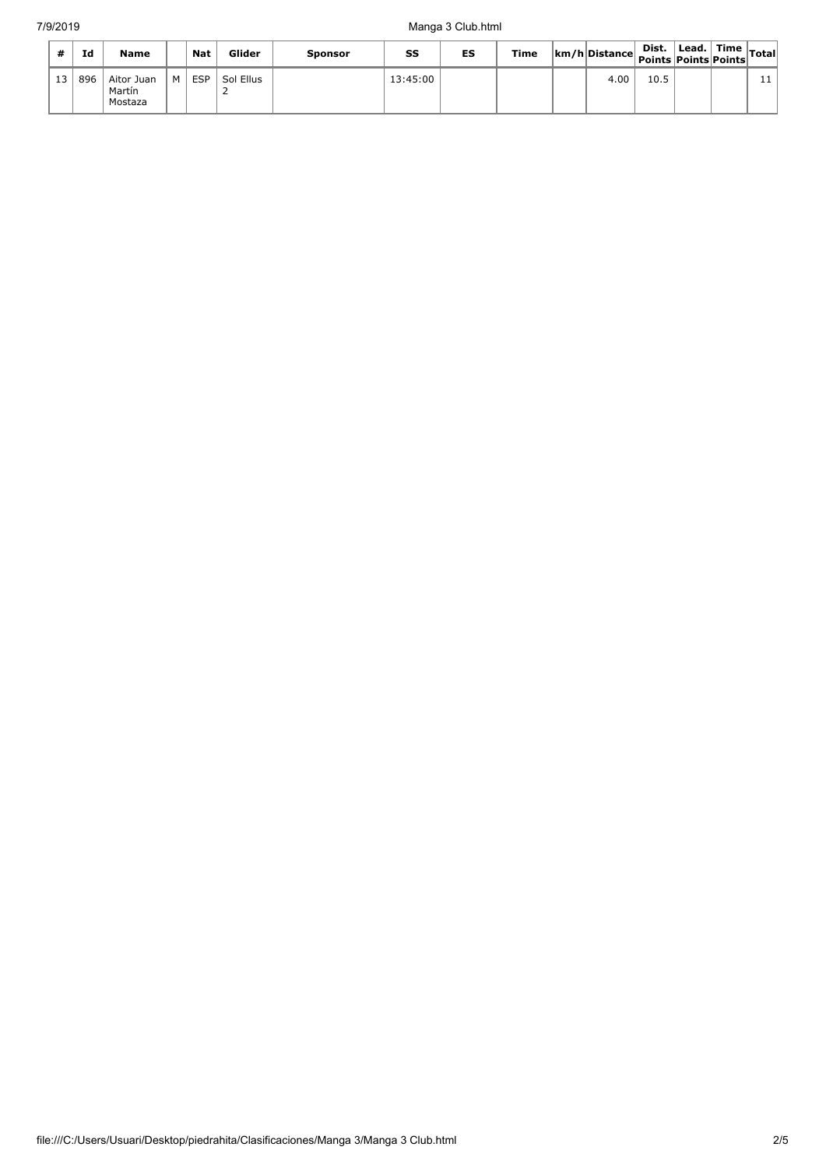| #               | Id  | <b>Name</b>                     |   | <b>Nat</b> | Glider    | <b>Sponsor</b> | SS       | ES | Time | km/h Distance Points Points Points Points   vu | Dist. | $\vert$ Lead. $\vert$ Time $\vert$ Total |    |
|-----------------|-----|---------------------------------|---|------------|-----------|----------------|----------|----|------|------------------------------------------------|-------|------------------------------------------|----|
| 13 <sup>1</sup> | 896 | Aitor Juan<br>Martín<br>Mostaza | M | <b>ESP</b> | Sol Ellus |                | 13:45:00 |    |      | 4.00                                           | 10.5  |                                          | ᆠᆂ |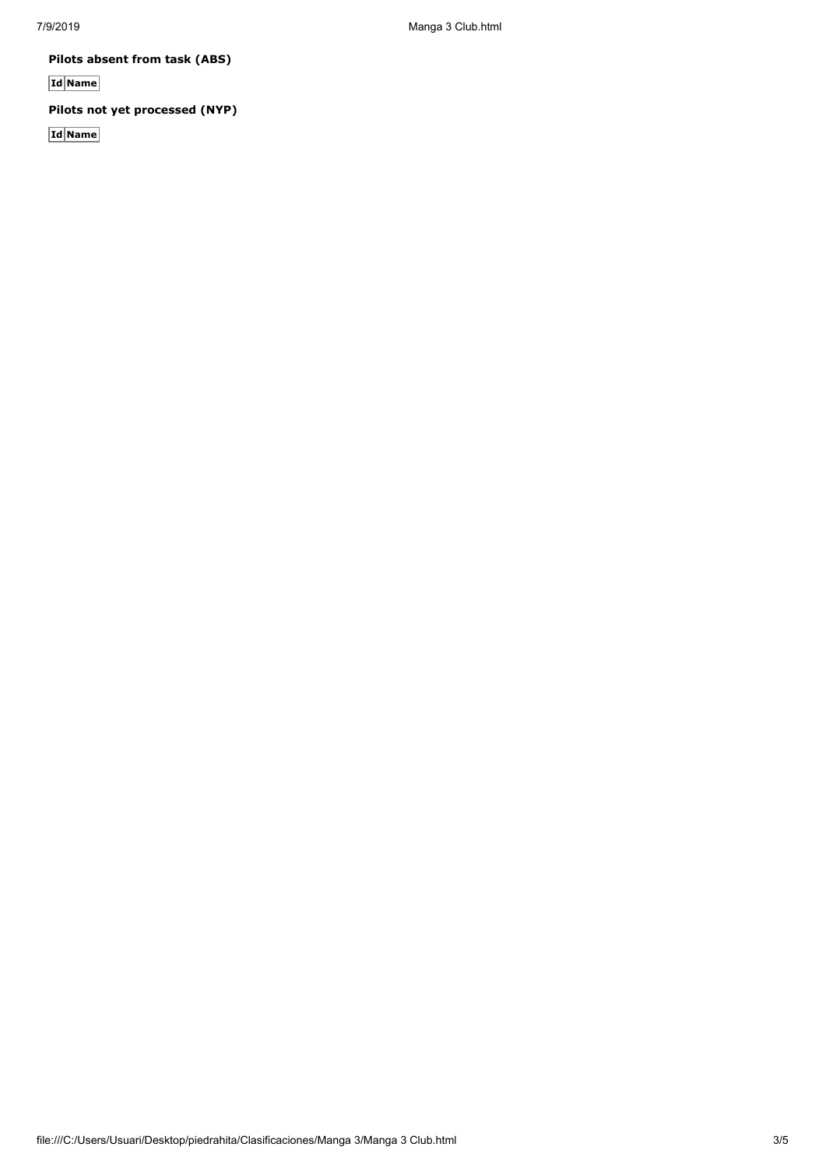7/9/2019 Manga 3 Club.html

**Pilots absent from task (ABS)**

**Id Name**

**Pilots not yet processed (NYP)**

**Id Name**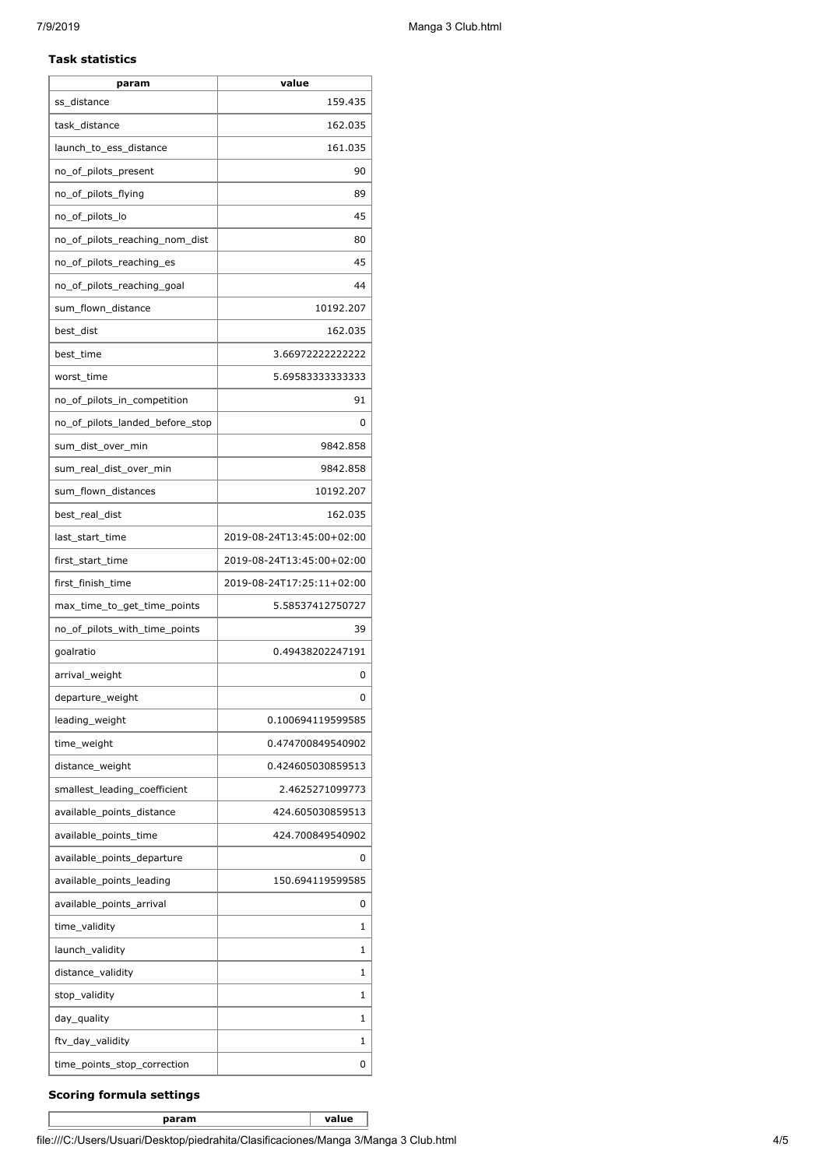### **Task statistics**

| param                           | value                     |
|---------------------------------|---------------------------|
| ss distance                     | 159.435                   |
| task_distance                   | 162.035                   |
| launch_to_ess_distance          | 161.035                   |
| no_of_pilots_present            | 90                        |
| no_of_pilots_flying             | 89                        |
| no_of_pilots_lo                 | 45                        |
| no_of_pilots_reaching_nom_dist  | 80                        |
| no_of_pilots_reaching_es        | 45                        |
| no_of_pilots_reaching_goal      | 44                        |
| sum_flown_distance              | 10192.207                 |
| best_dist                       | 162.035                   |
| best_time                       | 3.66972222222222          |
| worst time                      | 5.69583333333333          |
| no_of_pilots_in_competition     | 91                        |
| no of pilots landed before stop | 0                         |
| sum_dist_over_min               | 9842.858                  |
| sum_real_dist_over_min          | 9842.858                  |
| sum_flown_distances             | 10192.207                 |
| best_real_dist                  | 162.035                   |
| last_start_time                 | 2019-08-24T13:45:00+02:00 |
| first_start_time                | 2019-08-24T13:45:00+02:00 |
| first_finish_time               | 2019-08-24T17:25:11+02:00 |
| max_time_to_get_time_points     | 5.58537412750727          |
| no_of_pilots_with_time_points   | 39                        |
| qoalratio                       | 0.49438202247191          |
| arrival_weight                  | 0                         |
| departure_weight                | 0                         |
| leading_weight                  | 0.100694119599585         |
| time_weight                     | 0.474700849540902         |
| distance_weight                 | 0.424605030859513         |
| smallest_leading_coefficient    | 2.4625271099773           |
| available_points_distance       | 424.605030859513          |
| available_points_time           | 424.700849540902          |
| available_points_departure      | 0                         |
| available_points_leading        | 150.694119599585          |
| available_points_arrival        | 0                         |
| time_validity                   | 1                         |
| launch_validity                 | 1                         |
| distance_validity               | 1                         |
| stop_validity                   | 1                         |
| day_quality                     | 1                         |
| ftv_day_validity                | 1                         |
| time_points_stop_correction     | 0                         |

## **Scoring formula settings**

**param value**